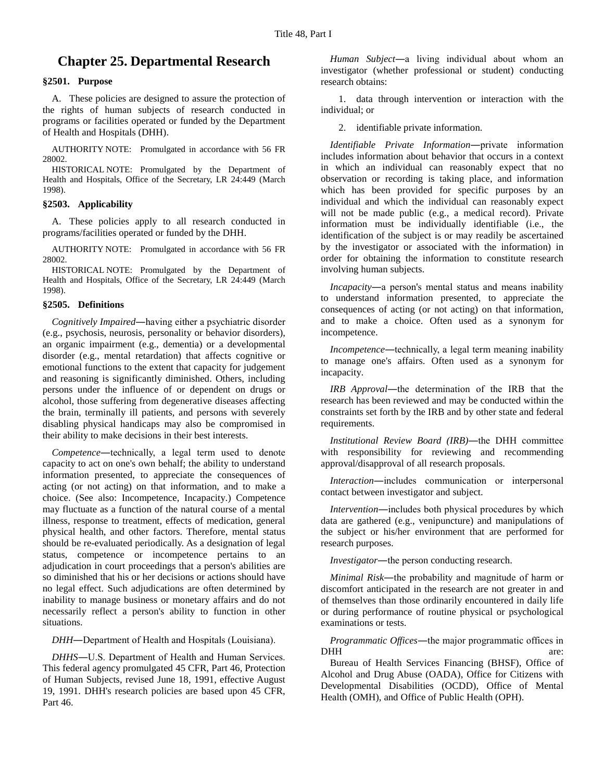# **Chapter 25. Departmental Research**

# **§2501. Purpose**

A. These policies are designed to assure the protection of the rights of human subjects of research conducted in programs or facilities operated or funded by the Department of Health and Hospitals (DHH).

AUTHORITY NOTE: Promulgated in accordance with 56 FR 28002.

HISTORICAL NOTE: Promulgated by the Department of Health and Hospitals, Office of the Secretary, LR 24:449 (March 1998).

## **§2503. Applicability**

A. These policies apply to all research conducted in programs/facilities operated or funded by the DHH.

AUTHORITY NOTE: Promulgated in accordance with 56 FR 28002.

HISTORICAL NOTE: Promulgated by the Department of Health and Hospitals, Office of the Secretary, LR 24:449 (March 1998).

#### **§2505. Definitions**

*Cognitively Impaired*―having either a psychiatric disorder (e.g., psychosis, neurosis, personality or behavior disorders), an organic impairment (e.g., dementia) or a developmental disorder (e.g., mental retardation) that affects cognitive or emotional functions to the extent that capacity for judgement and reasoning is significantly diminished. Others, including persons under the influence of or dependent on drugs or alcohol, those suffering from degenerative diseases affecting the brain, terminally ill patients, and persons with severely disabling physical handicaps may also be compromised in their ability to make decisions in their best interests.

*Competence*―technically, a legal term used to denote capacity to act on one's own behalf; the ability to understand information presented, to appreciate the consequences of acting (or not acting) on that information, and to make a choice. (See also: Incompetence, Incapacity.) Competence may fluctuate as a function of the natural course of a mental illness, response to treatment, effects of medication, general physical health, and other factors. Therefore, mental status should be re-evaluated periodically. As a designation of legal status, competence or incompetence pertains to an adjudication in court proceedings that a person's abilities are so diminished that his or her decisions or actions should have no legal effect. Such adjudications are often determined by inability to manage business or monetary affairs and do not necessarily reflect a person's ability to function in other situations.

*DHH*―Department of Health and Hospitals (Louisiana).

*DHHS*―U.S. Department of Health and Human Services. This federal agency promulgated 45 CFR, Part 46, Protection of Human Subjects, revised June 18, 1991, effective August 19, 1991. DHH's research policies are based upon 45 CFR, Part 46.

*Human Subject*―a living individual about whom an investigator (whether professional or student) conducting research obtains:

1. data through intervention or interaction with the individual; or

2. identifiable private information.

*Identifiable Private Information*―private information includes information about behavior that occurs in a context in which an individual can reasonably expect that no observation or recording is taking place, and information which has been provided for specific purposes by an individual and which the individual can reasonably expect will not be made public (e.g., a medical record). Private information must be individually identifiable (i.e., the identification of the subject is or may readily be ascertained by the investigator or associated with the information) in order for obtaining the information to constitute research involving human subjects.

*Incapacity*―a person's mental status and means inability to understand information presented, to appreciate the consequences of acting (or not acting) on that information, and to make a choice. Often used as a synonym for incompetence.

*Incompetence*―technically, a legal term meaning inability to manage one's affairs. Often used as a synonym for incapacity.

*IRB Approval*―the determination of the IRB that the research has been reviewed and may be conducted within the constraints set forth by the IRB and by other state and federal requirements.

*Institutional Review Board (IRB)*―the DHH committee with responsibility for reviewing and recommending approval/disapproval of all research proposals.

*Interaction*―includes communication or interpersonal contact between investigator and subject.

*Intervention*―includes both physical procedures by which data are gathered (e.g., venipuncture) and manipulations of the subject or his/her environment that are performed for research purposes.

*Investigator*―the person conducting research.

*Minimal Risk*―the probability and magnitude of harm or discomfort anticipated in the research are not greater in and of themselves than those ordinarily encountered in daily life or during performance of routine physical or psychological examinations or tests.

*Programmatic Offices*―the major programmatic offices in DHH are:

Bureau of Health Services Financing (BHSF), Office of Alcohol and Drug Abuse (OADA), Office for Citizens with Developmental Disabilities (OCDD), Office of Mental Health (OMH), and Office of Public Health (OPH).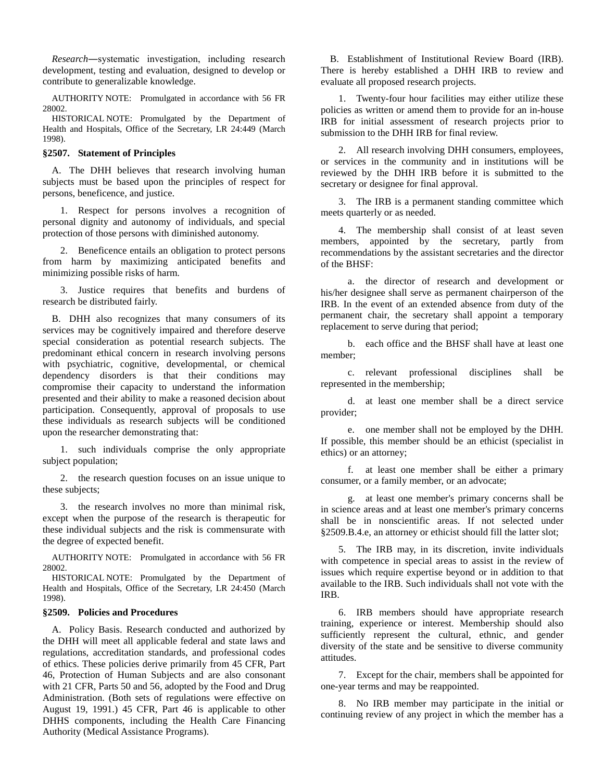*Research*―systematic investigation, including research development, testing and evaluation, designed to develop or contribute to generalizable knowledge.

AUTHORITY NOTE: Promulgated in accordance with 56 FR 28002.

HISTORICAL NOTE: Promulgated by the Department of Health and Hospitals, Office of the Secretary, LR 24:449 (March 1998).

#### **§2507. Statement of Principles**

A. The DHH believes that research involving human subjects must be based upon the principles of respect for persons, beneficence, and justice.

1. Respect for persons involves a recognition of personal dignity and autonomy of individuals, and special protection of those persons with diminished autonomy.

2. Beneficence entails an obligation to protect persons from harm by maximizing anticipated benefits and minimizing possible risks of harm.

3. Justice requires that benefits and burdens of research be distributed fairly.

B. DHH also recognizes that many consumers of its services may be cognitively impaired and therefore deserve special consideration as potential research subjects. The predominant ethical concern in research involving persons with psychiatric, cognitive, developmental, or chemical dependency disorders is that their conditions may compromise their capacity to understand the information presented and their ability to make a reasoned decision about participation. Consequently, approval of proposals to use these individuals as research subjects will be conditioned upon the researcher demonstrating that:

1. such individuals comprise the only appropriate subject population;

2. the research question focuses on an issue unique to these subjects;

3. the research involves no more than minimal risk, except when the purpose of the research is therapeutic for these individual subjects and the risk is commensurate with the degree of expected benefit.

AUTHORITY NOTE: Promulgated in accordance with 56 FR 28002.

HISTORICAL NOTE: Promulgated by the Department of Health and Hospitals, Office of the Secretary, LR 24:450 (March 1998).

## **§2509. Policies and Procedures**

A. Policy Basis. Research conducted and authorized by the DHH will meet all applicable federal and state laws and regulations, accreditation standards, and professional codes of ethics. These policies derive primarily from 45 CFR, Part 46, Protection of Human Subjects and are also consonant with 21 CFR, Parts 50 and 56, adopted by the Food and Drug Administration. (Both sets of regulations were effective on August 19, 1991.) 45 CFR, Part 46 is applicable to other DHHS components, including the Health Care Financing Authority (Medical Assistance Programs).

B. Establishment of Institutional Review Board (IRB). There is hereby established a DHH IRB to review and evaluate all proposed research projects.

1. Twenty-four hour facilities may either utilize these policies as written or amend them to provide for an in-house IRB for initial assessment of research projects prior to submission to the DHH IRB for final review.

2. All research involving DHH consumers, employees, or services in the community and in institutions will be reviewed by the DHH IRB before it is submitted to the secretary or designee for final approval.

3. The IRB is a permanent standing committee which meets quarterly or as needed.

4. The membership shall consist of at least seven members, appointed by the secretary, partly from recommendations by the assistant secretaries and the director of the BHSF:

a. the director of research and development or his/her designee shall serve as permanent chairperson of the IRB. In the event of an extended absence from duty of the permanent chair, the secretary shall appoint a temporary replacement to serve during that period;

b. each office and the BHSF shall have at least one member;

c. relevant professional disciplines shall be represented in the membership;

d. at least one member shall be a direct service provider;

e. one member shall not be employed by the DHH. If possible, this member should be an ethicist (specialist in ethics) or an attorney;

f. at least one member shall be either a primary consumer, or a family member, or an advocate;

g. at least one member's primary concerns shall be in science areas and at least one member's primary concerns shall be in nonscientific areas. If not selected under §2509.B.4.e, an attorney or ethicist should fill the latter slot;

5. The IRB may, in its discretion, invite individuals with competence in special areas to assist in the review of issues which require expertise beyond or in addition to that available to the IRB. Such individuals shall not vote with the IRB.

6. IRB members should have appropriate research training, experience or interest. Membership should also sufficiently represent the cultural, ethnic, and gender diversity of the state and be sensitive to diverse community attitudes.

7. Except for the chair, members shall be appointed for one-year terms and may be reappointed.

8. No IRB member may participate in the initial or continuing review of any project in which the member has a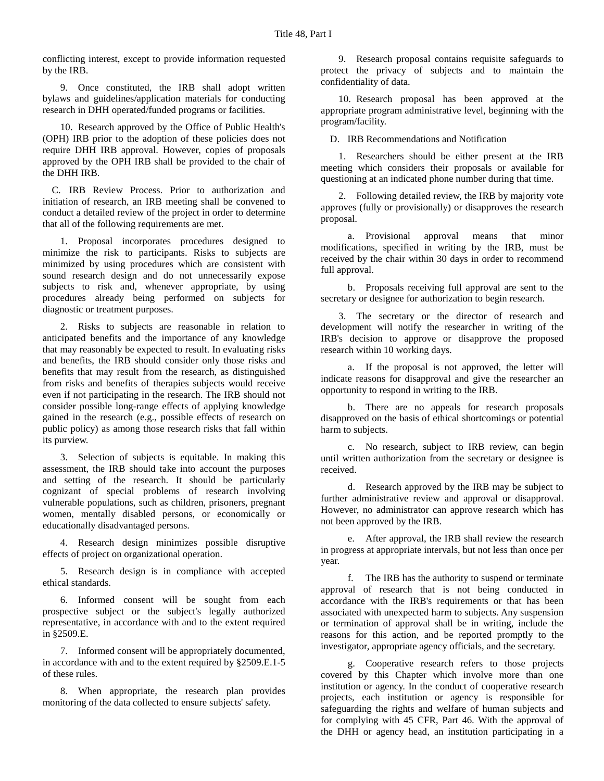conflicting interest, except to provide information requested by the IRB.

9. Once constituted, the IRB shall adopt written bylaws and guidelines/application materials for conducting research in DHH operated/funded programs or facilities.

10. Research approved by the Office of Public Health's (OPH) IRB prior to the adoption of these policies does not require DHH IRB approval. However, copies of proposals approved by the OPH IRB shall be provided to the chair of the DHH IRB.

C. IRB Review Process. Prior to authorization and initiation of research, an IRB meeting shall be convened to conduct a detailed review of the project in order to determine that all of the following requirements are met.

1. Proposal incorporates procedures designed to minimize the risk to participants. Risks to subjects are minimized by using procedures which are consistent with sound research design and do not unnecessarily expose subjects to risk and, whenever appropriate, by using procedures already being performed on subjects for diagnostic or treatment purposes.

2. Risks to subjects are reasonable in relation to anticipated benefits and the importance of any knowledge that may reasonably be expected to result. In evaluating risks and benefits, the IRB should consider only those risks and benefits that may result from the research, as distinguished from risks and benefits of therapies subjects would receive even if not participating in the research. The IRB should not consider possible long-range effects of applying knowledge gained in the research (e.g., possible effects of research on public policy) as among those research risks that fall within its purview.

3. Selection of subjects is equitable. In making this assessment, the IRB should take into account the purposes and setting of the research. It should be particularly cognizant of special problems of research involving vulnerable populations, such as children, prisoners, pregnant women, mentally disabled persons, or economically or educationally disadvantaged persons.

4. Research design minimizes possible disruptive effects of project on organizational operation.

5. Research design is in compliance with accepted ethical standards.

6. Informed consent will be sought from each prospective subject or the subject's legally authorized representative, in accordance with and to the extent required in §2509.E.

7. Informed consent will be appropriately documented, in accordance with and to the extent required by §2509.E.1-5 of these rules.

8. When appropriate, the research plan provides monitoring of the data collected to ensure subjects' safety.

9. Research proposal contains requisite safeguards to protect the privacy of subjects and to maintain the confidentiality of data.

10. Research proposal has been approved at the appropriate program administrative level, beginning with the program/facility.

D. IRB Recommendations and Notification

1. Researchers should be either present at the IRB meeting which considers their proposals or available for questioning at an indicated phone number during that time.

2. Following detailed review, the IRB by majority vote approves (fully or provisionally) or disapproves the research proposal.

a. Provisional approval means that minor modifications, specified in writing by the IRB, must be received by the chair within 30 days in order to recommend full approval.

b. Proposals receiving full approval are sent to the secretary or designee for authorization to begin research.

3. The secretary or the director of research and development will notify the researcher in writing of the IRB's decision to approve or disapprove the proposed research within 10 working days.

a. If the proposal is not approved, the letter will indicate reasons for disapproval and give the researcher an opportunity to respond in writing to the IRB.

b. There are no appeals for research proposals disapproved on the basis of ethical shortcomings or potential harm to subjects.

c. No research, subject to IRB review, can begin until written authorization from the secretary or designee is received.

d. Research approved by the IRB may be subject to further administrative review and approval or disapproval. However, no administrator can approve research which has not been approved by the IRB.

e. After approval, the IRB shall review the research in progress at appropriate intervals, but not less than once per year.

f. The IRB has the authority to suspend or terminate approval of research that is not being conducted in accordance with the IRB's requirements or that has been associated with unexpected harm to subjects. Any suspension or termination of approval shall be in writing, include the reasons for this action, and be reported promptly to the investigator, appropriate agency officials, and the secretary.

g. Cooperative research refers to those projects covered by this Chapter which involve more than one institution or agency. In the conduct of cooperative research projects, each institution or agency is responsible for safeguarding the rights and welfare of human subjects and for complying with 45 CFR, Part 46. With the approval of the DHH or agency head, an institution participating in a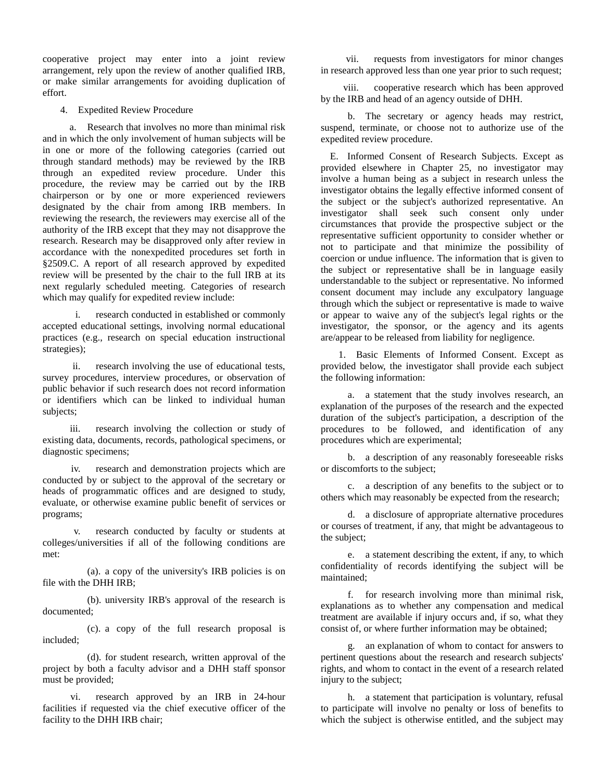cooperative project may enter into a joint review arrangement, rely upon the review of another qualified IRB, or make similar arrangements for avoiding duplication of effort.

4. Expedited Review Procedure

a. Research that involves no more than minimal risk and in which the only involvement of human subjects will be in one or more of the following categories (carried out through standard methods) may be reviewed by the IRB through an expedited review procedure. Under this procedure, the review may be carried out by the IRB chairperson or by one or more experienced reviewers designated by the chair from among IRB members. In reviewing the research, the reviewers may exercise all of the authority of the IRB except that they may not disapprove the research. Research may be disapproved only after review in accordance with the nonexpedited procedures set forth in §2509.C. A report of all research approved by expedited review will be presented by the chair to the full IRB at its next regularly scheduled meeting. Categories of research which may qualify for expedited review include:

i. research conducted in established or commonly accepted educational settings, involving normal educational practices (e.g., research on special education instructional strategies);

ii. research involving the use of educational tests, survey procedures, interview procedures, or observation of public behavior if such research does not record information or identifiers which can be linked to individual human subjects;

iii. research involving the collection or study of existing data, documents, records, pathological specimens, or diagnostic specimens;

iv. research and demonstration projects which are conducted by or subject to the approval of the secretary or heads of programmatic offices and are designed to study, evaluate, or otherwise examine public benefit of services or programs;

v. research conducted by faculty or students at colleges/universities if all of the following conditions are met:

(a). a copy of the university's IRB policies is on file with the DHH IRB;

(b). university IRB's approval of the research is documented;

(c). a copy of the full research proposal is included;

(d). for student research, written approval of the project by both a faculty advisor and a DHH staff sponsor must be provided;

vi. research approved by an IRB in 24-hour facilities if requested via the chief executive officer of the facility to the DHH IRB chair;

vii. requests from investigators for minor changes in research approved less than one year prior to such request;

viii. cooperative research which has been approved by the IRB and head of an agency outside of DHH.

b. The secretary or agency heads may restrict, suspend, terminate, or choose not to authorize use of the expedited review procedure.

E. Informed Consent of Research Subjects. Except as provided elsewhere in Chapter 25, no investigator may involve a human being as a subject in research unless the investigator obtains the legally effective informed consent of the subject or the subject's authorized representative. An investigator shall seek such consent only under circumstances that provide the prospective subject or the representative sufficient opportunity to consider whether or not to participate and that minimize the possibility of coercion or undue influence. The information that is given to the subject or representative shall be in language easily understandable to the subject or representative. No informed consent document may include any exculpatory language through which the subject or representative is made to waive or appear to waive any of the subject's legal rights or the investigator, the sponsor, or the agency and its agents are/appear to be released from liability for negligence.

1. Basic Elements of Informed Consent. Except as provided below, the investigator shall provide each subject the following information:

a. a statement that the study involves research, an explanation of the purposes of the research and the expected duration of the subject's participation, a description of the procedures to be followed, and identification of any procedures which are experimental;

b. a description of any reasonably foreseeable risks or discomforts to the subject;

c. a description of any benefits to the subject or to others which may reasonably be expected from the research;

d. a disclosure of appropriate alternative procedures or courses of treatment, if any, that might be advantageous to the subject;

e. a statement describing the extent, if any, to which confidentiality of records identifying the subject will be maintained;

f. for research involving more than minimal risk, explanations as to whether any compensation and medical treatment are available if injury occurs and, if so, what they consist of, or where further information may be obtained;

g. an explanation of whom to contact for answers to pertinent questions about the research and research subjects' rights, and whom to contact in the event of a research related injury to the subject;

h. a statement that participation is voluntary, refusal to participate will involve no penalty or loss of benefits to which the subject is otherwise entitled, and the subject may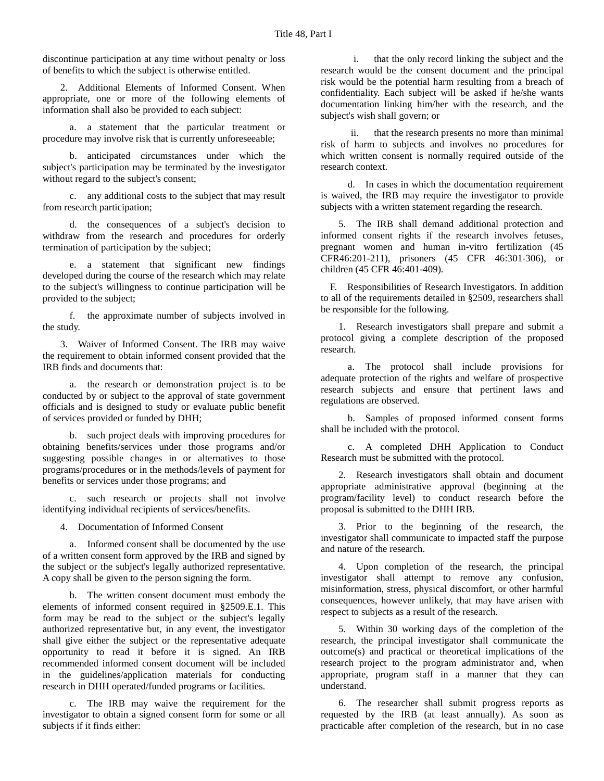discontinue participation at any time without penalty or loss of benefits to which the subject is otherwise entitled.

2. Additional Elements of Informed Consent. When appropriate, one or more of the following elements of information shall also be provided to each subject:

a. a statement that the particular treatment or procedure may involve risk that is currently unforeseeable;

b. anticipated circumstances under which the subject's participation may be terminated by the investigator without regard to the subject's consent;

c. any additional costs to the subject that may result from research participation;

d. the consequences of a subject's decision to withdraw from the research and procedures for orderly termination of participation by the subject;

e. a statement that significant new findings developed during the course of the research which may relate to the subject's willingness to continue participation will be provided to the subject;

f. the approximate number of subjects involved in the study.

3. Waiver of Informed Consent. The IRB may waive the requirement to obtain informed consent provided that the IRB finds and documents that:

a. the research or demonstration project is to be conducted by or subject to the approval of state government officials and is designed to study or evaluate public benefit of services provided or funded by DHH;

b. such project deals with improving procedures for obtaining benefits/services under those programs and/or suggesting possible changes in or alternatives to those programs/procedures or in the methods/levels of payment for benefits or services under those programs; and

c. such research or projects shall not involve identifying individual recipients of services/benefits.

4. Documentation of Informed Consent

a. Informed consent shall be documented by the use of a written consent form approved by the IRB and signed by the subject or the subject's legally authorized representative. A copy shall be given to the person signing the form.

b. The written consent document must embody the elements of informed consent required in §2509.E.1. This form may be read to the subject or the subject's legally authorized representative but, in any event, the investigator shall give either the subject or the representative adequate opportunity to read it before it is signed. An IRB recommended informed consent document will be included in the guidelines/application materials for conducting research in DHH operated/funded programs or facilities.

c. The IRB may waive the requirement for the investigator to obtain a signed consent form for some or all subjects if it finds either:

i. that the only record linking the subject and the research would be the consent document and the principal risk would be the potential harm resulting from a breach of confidentiality. Each subject will be asked if he/she wants documentation linking him/her with the research, and the subject's wish shall govern; or

ii. that the research presents no more than minimal risk of harm to subjects and involves no procedures for which written consent is normally required outside of the research context.

d. In cases in which the documentation requirement is waived, the IRB may require the investigator to provide subjects with a written statement regarding the research.

5. The IRB shall demand additional protection and informed consent rights if the research involves fetuses, pregnant women and human in-vitro fertilization (45 CFR46:201-211), prisoners (45 CFR 46:301-306), or children (45 CFR 46:401-409).

F. Responsibilities of Research Investigators. In addition to all of the requirements detailed in §2509, researchers shall be responsible for the following.

1. Research investigators shall prepare and submit a protocol giving a complete description of the proposed research.

a. The protocol shall include provisions for adequate protection of the rights and welfare of prospective research subjects and ensure that pertinent laws and regulations are observed.

b. Samples of proposed informed consent forms shall be included with the protocol.

c. A completed DHH Application to Conduct Research must be submitted with the protocol.

2. Research investigators shall obtain and document appropriate administrative approval (beginning at the program/facility level) to conduct research before the proposal is submitted to the DHH IRB.

3. Prior to the beginning of the research, the investigator shall communicate to impacted staff the purpose and nature of the research.

4. Upon completion of the research, the principal investigator shall attempt to remove any confusion, misinformation, stress, physical discomfort, or other harmful consequences, however unlikely, that may have arisen with respect to subjects as a result of the research.

5. Within 30 working days of the completion of the research, the principal investigator shall communicate the outcome(s) and practical or theoretical implications of the research project to the program administrator and, when appropriate, program staff in a manner that they can understand.

6. The researcher shall submit progress reports as requested by the IRB (at least annually). As soon as practicable after completion of the research, but in no case